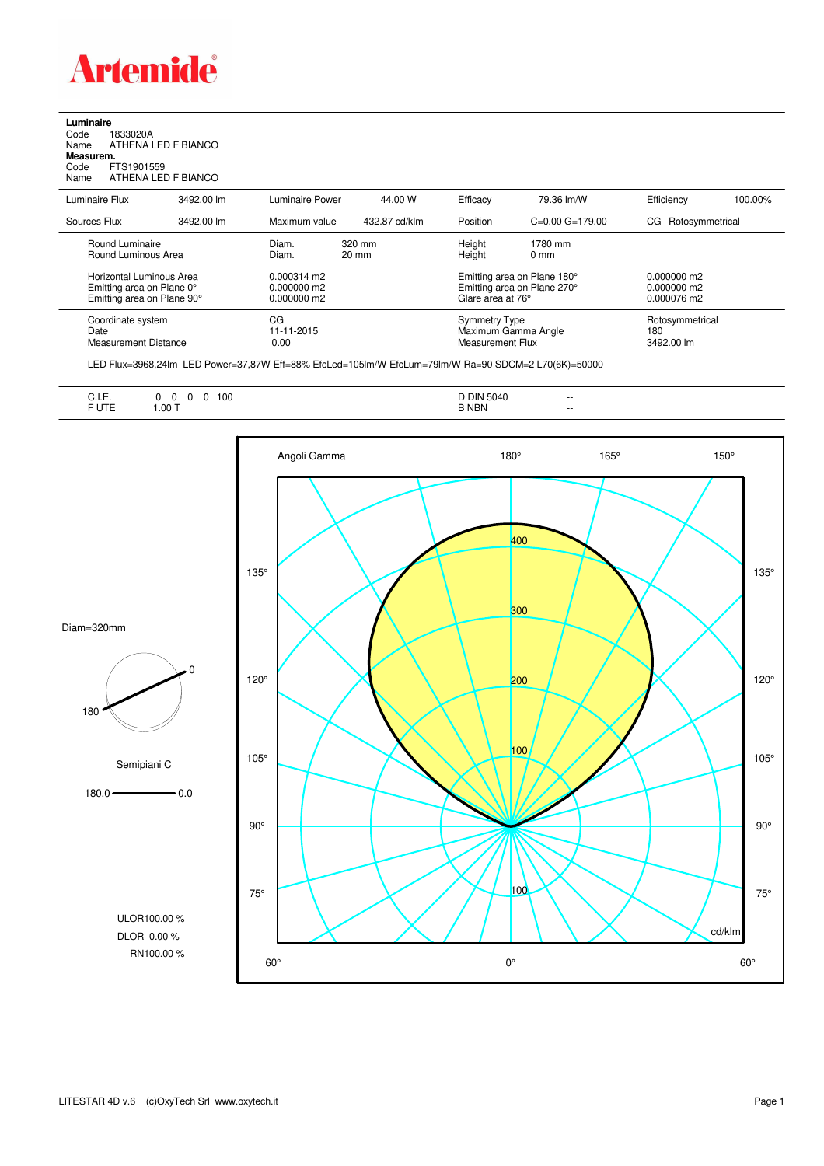

## **Luminaire** Code 1833020A Name ATHENA LED F BIANCO

| Measurem. |                     |  |
|-----------|---------------------|--|
| Code      | FTS1901559          |  |
| Name      | ATHENA LED F BIANCO |  |

| Luminaire Flux                                                                                                                | 3492.00 lm | Luminaire Power                                                                                       | 44.00 W       | Efficacy                                                                                                                         | 79.36 lm/W          | Efficiency                                    | 100.00% |
|-------------------------------------------------------------------------------------------------------------------------------|------------|-------------------------------------------------------------------------------------------------------|---------------|----------------------------------------------------------------------------------------------------------------------------------|---------------------|-----------------------------------------------|---------|
| Sources Flux                                                                                                                  | 3492.00 lm | Maximum value                                                                                         | 432.87 cd/klm | Position                                                                                                                         | $C=0.00$ $G=179.00$ | Rotosymmetrical<br>CG                         |         |
| Round Luminaire<br>Round Luminous Area<br>Horizontal Luminous Area<br>Emitting area on Plane 0°<br>Emitting area on Plane 90° |            | 320 mm<br>Diam.<br>Diam.<br>$20 \text{ mm}$<br>$0.000314 \text{ m}$<br>$0.000000$ m2<br>$0.000000$ m2 |               | Height<br>1780 mm<br>Height<br>$0 \text{ mm}$<br>Emitting area on Plane 180°<br>Emitting area on Plane 270°<br>Glare area at 76° |                     | $0.000000$ m2<br>$0.000000$ m2<br>0.000076 m2 |         |
| Coordinate system<br>Date<br>Measurement Distance                                                                             |            | CG<br>11-11-2015<br>0.00                                                                              |               | Symmetry Type<br>Measurement Flux                                                                                                | Maximum Gamma Angle | Rotosymmetrical<br>180<br>3492.00 lm          |         |

LED Flux=3968,24lm LED Power=37,87W Eff=88% EfcLed=105lm/W EfcLum=79lm/W Ra=90 SDCM=2 L70(6K)=50000